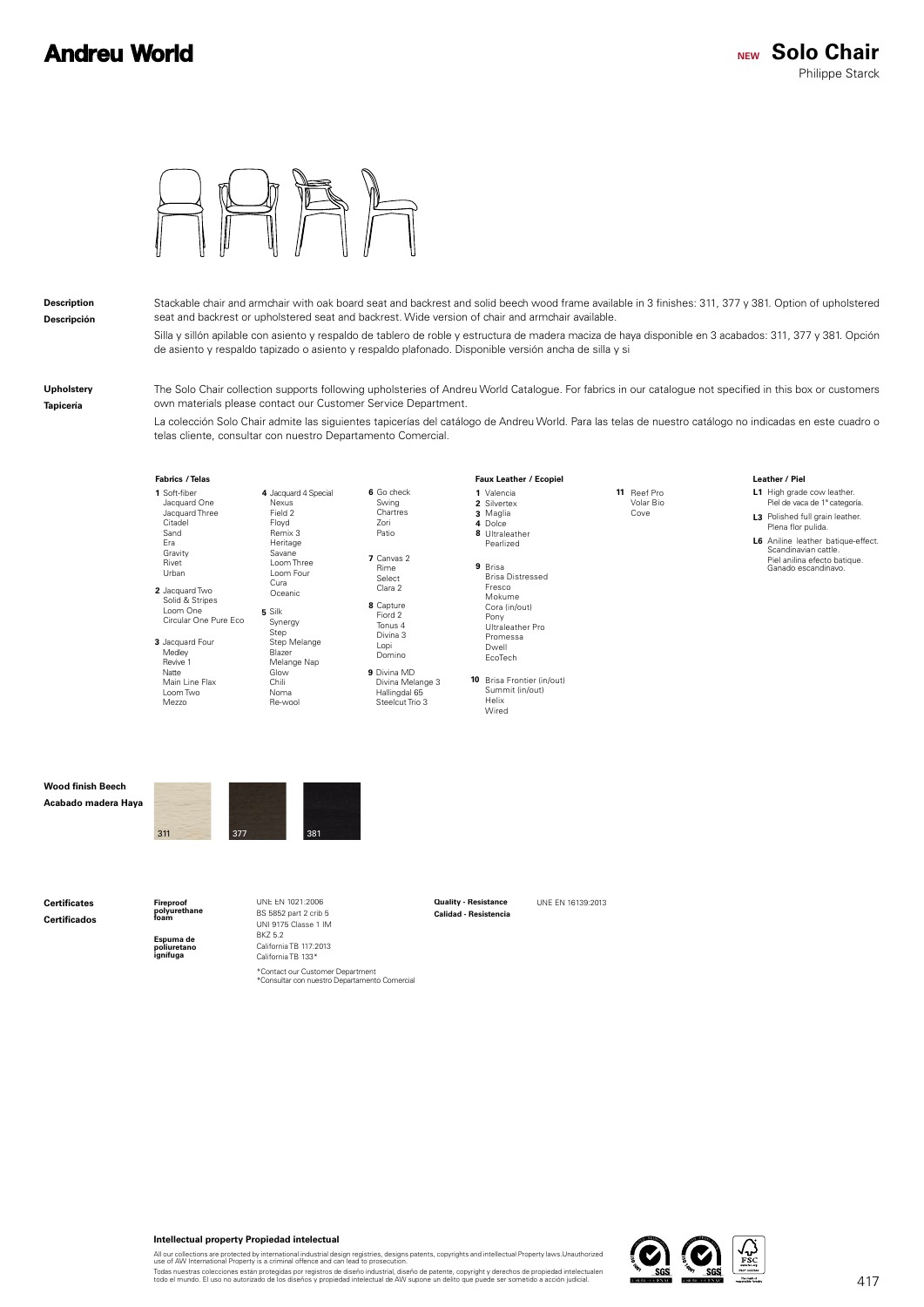

#### **Description Descripción**

Stackable chair and armchair with oak board seat and backrest and solid beech wood frame available in 3 finishes: 311, 377 y 381. Option of upholstered seat and backrest or upholstered seat and backrest. Wide version of chair and armchair available. Silla y sillón apilable con asiento y respaldo de tablero de roble y estructura de madera maciza de haya disponible en 3 acabados: 311, 377 y 381. Opción de asiento y respaldo tapizado o asiento y respaldo plafonado. Disponible versión ancha de silla y si

**Upholstery Tapicería**

The Solo Chair collection supports following upholsteries of Andreu World Catalogue. For fabrics in our catalogue not specified in this box or customers own materials please contact our Customer Service Department.

La colección Solo Chair admite las siguientes tapicerías del catálogo de Andreu World. Para las telas de nuestro catálogo no indicadas en este cuadro o telas cliente, consultar con nuestro Departamento Comercial.



**1** Soft-fiber 2 Jacquard Two Jacquard One Jacquard Three Citadel Sand Era Gravity Rivet Urban Cura Oceanic Jacquard Two Solid & Stripes Loom One Circular One Pure Eco

**3** Jacquard Four Medley Revive 1 Natte Main Line Flax Loom Two Mezzo

**8** Capture Fiord 2 **6** Go check **7** Canvas 2 **4** Jacquard 4 Special Step Step Melange Blazer Melange Nap Loom Three Loom Four

**9** Divina MD Domino Divina Melange 3 Hallingdal 65 Steelcut Trio 3

Tonus 4 Divina 3 Lopi

Swing **Chartres** Zori Patio

Rime Select Clara 2

#### Valencia **1** 2 Silvertex Maglia **3** 4 Dolce **8** Ultraleather **Faux Leather** / Ecopiel

**9** Brisa Brisa Distressed Pearlized Fresco Mokume Cora (in/out) Pony Ultraleather Pro Promessa Dwell EcoTech

**10** Brisa Frontier (in/out) Summit (in/out) Helix Wired

**Wood finish Beech Acabado madera Haya**



**5** Silk

Synergy

Nexus Field 2 Floyd Remix 3 Heritage Savane

Glow Chili Noma Re-wool

**Certificates Certificados**

**Espuma de poliuretano Fireproof polyurethane foam**

**ignífuga**

BS 5852 part 2 crib 5 UNI 9175 Classe 1 IM BKZ 5.2 California TB 117:2013 California TB 133\* \*Contact our Customer Department<br>\*Consultar con nuestro Departamento Comercial

UNE EN 1021:2006 **Quality - Resistance** UNE EN 16139:2013 **Calidad - Resistencia Quality - Resistance**

**11** Reef Pro

Volar Bio Cove

#### Leather / Piel

- **L1** High grade cow leather. Piel de vaca de 1ª categoría.
- 
- **L3** Polished full grain leather.<br>Plena flor pulida. **L6** Aniline leather batique-effect.
- Piel anilina efecto batique. Ganado escandinavo. Scandinavian cattle

**Intellectual property Propiedad intelectual**

All our collections are protected by international industrial design registries, designs patents, copyrights and intellectual Property laws.Unauthorized<br>use of AW International Property is a criminal offence and can lead t

Todas nuestras colecciones están protegidas por registros de diseño industrial, diseño de patente, copyright y derechos de propiedad intelectualen<br>todo el mundo. El uso no autorizado de los diseños y propiedad intelectual

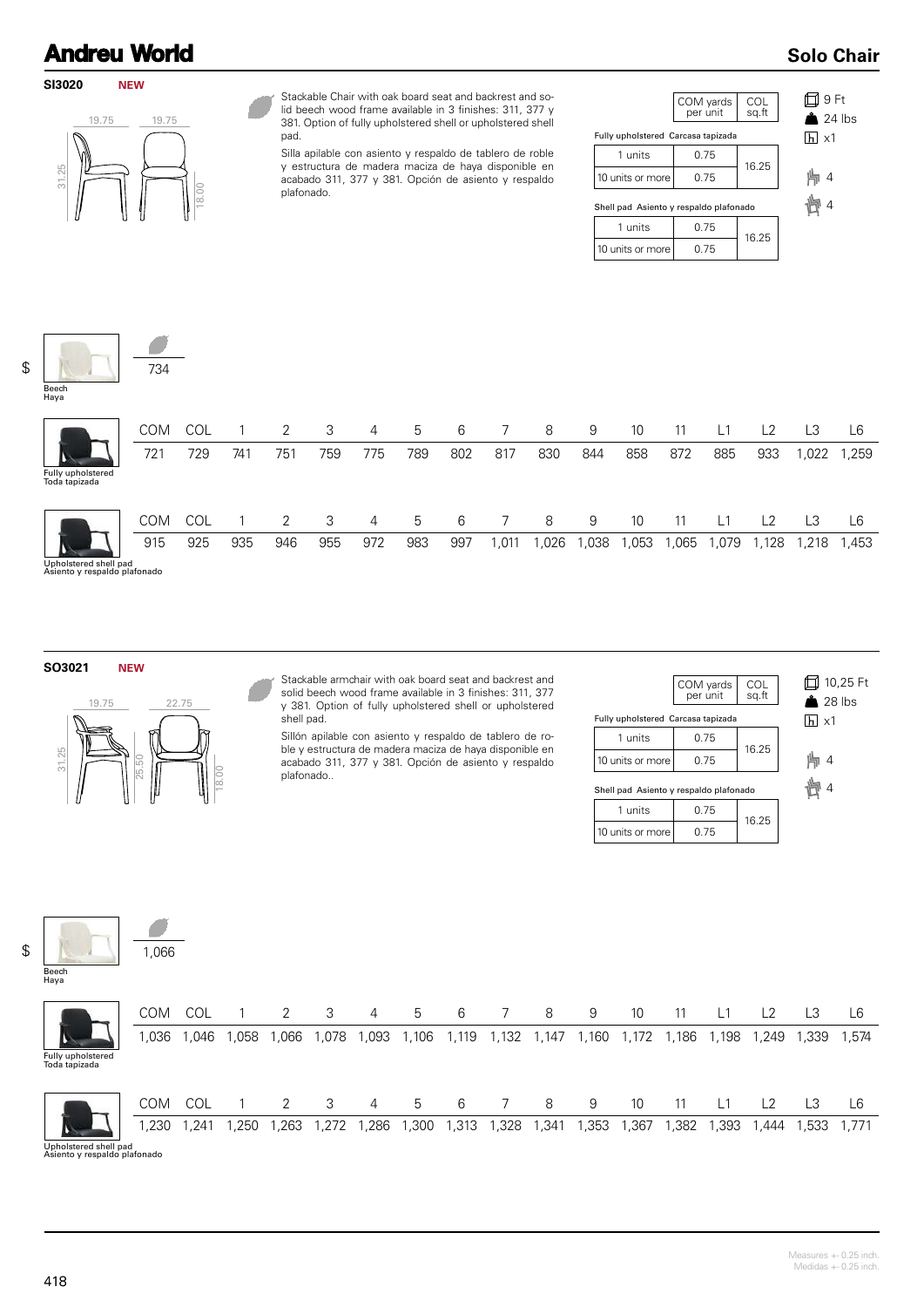**SI3020**

### **Solo Chair**



734

**NEW**

Stackable Chair with oak board seat and backrest and solid beech wood frame available in 3 finishes: 311, 377 y 381. Option of fully upholstered shell or upholstered shell pad.

Silla apilable con asiento y respaldo de tablero de roble y estructura de madera maciza de haya disponible en acabado 311, 377 y 381. Opción de asiento y respaldo plafonado.

|                                        | COM yards<br>per unit | COL<br>sq.ft |  |
|----------------------------------------|-----------------------|--------------|--|
| Fully upholstered Carcasa tapizada     |                       |              |  |
| 1 units                                | 0.75                  | 16.25        |  |
| 10 units or more                       | 0.75                  |              |  |
| Shell pad Asiento y respaldo plafonado |                       |              |  |
| 1 units                                | 0.75                  | 16.25        |  |
| 10 units or more                       | 0.75                  |              |  |

9 Ft  $24$  lbs  $\overline{h}$  x1 ト 4 幽 4

\$

| Beech<br>Haya                      |            |     |     |     |     |     |     |     |      |      |      |      |      |      |                |       |       |
|------------------------------------|------------|-----|-----|-----|-----|-----|-----|-----|------|------|------|------|------|------|----------------|-------|-------|
|                                    | <b>COM</b> | COL |     | 2   | 3   | 4   | 5   | 6   |      | 8    | 9    | 10   |      | L1   | L <sub>2</sub> | LЗ    | L6    |
| Fully upholstered<br>Toda tapizada | 721        | 729 | 741 | 751 | 759 | 775 | 789 | 802 | 817  | 830  | 844  | 858  | 872  | 885  | 933            | ,022  | ,259  |
|                                    | <b>COM</b> | COL |     | 2   | 3   | 4   | 5   | 6   |      | 8    | 9    | 10   |      | L1   | L2             | L3    | ∟6    |
| المحمر المطم لممعمعهما مطمال       | 915        | 925 | 935 | 946 | 955 | 972 | 983 | 997 | ,011 | ,026 | ,038 | ,053 | ,065 | ,079 | 1,128          | 1,218 | 1,453 |

Upholstered shell pad Asiento y respaldo plafonado

**SO3021 NEW**



┑

Stackable armchair with oak board seat and backrest and solid beech wood frame available in 3 finishes: 311, 377 y 381. Option of fully upholstered shell or upholstered shell pad.

Sillón apilable con asiento y respaldo de tablero de roble y estructura de madera maciza de haya disponible en acabado 311, 377 y 381. Opción de asiento y respaldo plafonado..

|                                        | COM yards<br>per unit | COL<br>sq.ft | 口 10,25 Ft<br>$\triangle$ 28 lbs |
|----------------------------------------|-----------------------|--------------|----------------------------------|
| Fully upholstered Carcasa tapizada     |                       |              | $ h  \times 1$                   |
| 1 units                                | 0.75                  | 16.25        |                                  |
| 10 units or more                       | 0.75                  |              | $\overline{4}$                   |
| Shell pad Asiento y respaldo plafonado |                       |              |                                  |
| 1 units                                | 0.75                  | 16.25        |                                  |
| 10 units or more                       | 0.75                  |              |                                  |

| Beech<br>Haya                      | 1,066      |       |      |        |        |                |       |       |       |       |       |       |       |                |       |       |       |
|------------------------------------|------------|-------|------|--------|--------|----------------|-------|-------|-------|-------|-------|-------|-------|----------------|-------|-------|-------|
|                                    | COM        | COL   |      | 2      | 3      | 4              | 5     | 6     | 7     | 8     | 9     | 10    | 11    | $\overline{1}$ | L2    | L3    | L6    |
|                                    | .036 ا     | 1,046 | ,058 | 066, ا | 078, ا | 1,093          | 1,106 | 1,119 | 1,132 | 1,147 | 1,160 | 1,172 | 1,186 | 1,198          | 1,249 | 1,339 | 1,574 |
| Fully upholstered<br>Toda tapizada |            |       |      |        |        |                |       |       |       |       |       |       |       |                |       |       |       |
|                                    | <b>COM</b> | COL   |      | 2      | 3      | $\overline{4}$ | 5     | 6     | 7     | 8     | 9     | 10    | 11    | $\overline{1}$ | L2    | L3    | L6    |
|                                    | ,230       | ,241  | ,250 | ,263   | 1,272  | 1,286          | ,300  | 1,313 | 1,328 | 1,341 | ,353  | ,367  | ,382  | 1,393          | 1,444 | 1,533 | 1,771 |

Upholstered shell pad Asiento y respaldo plafonado

\$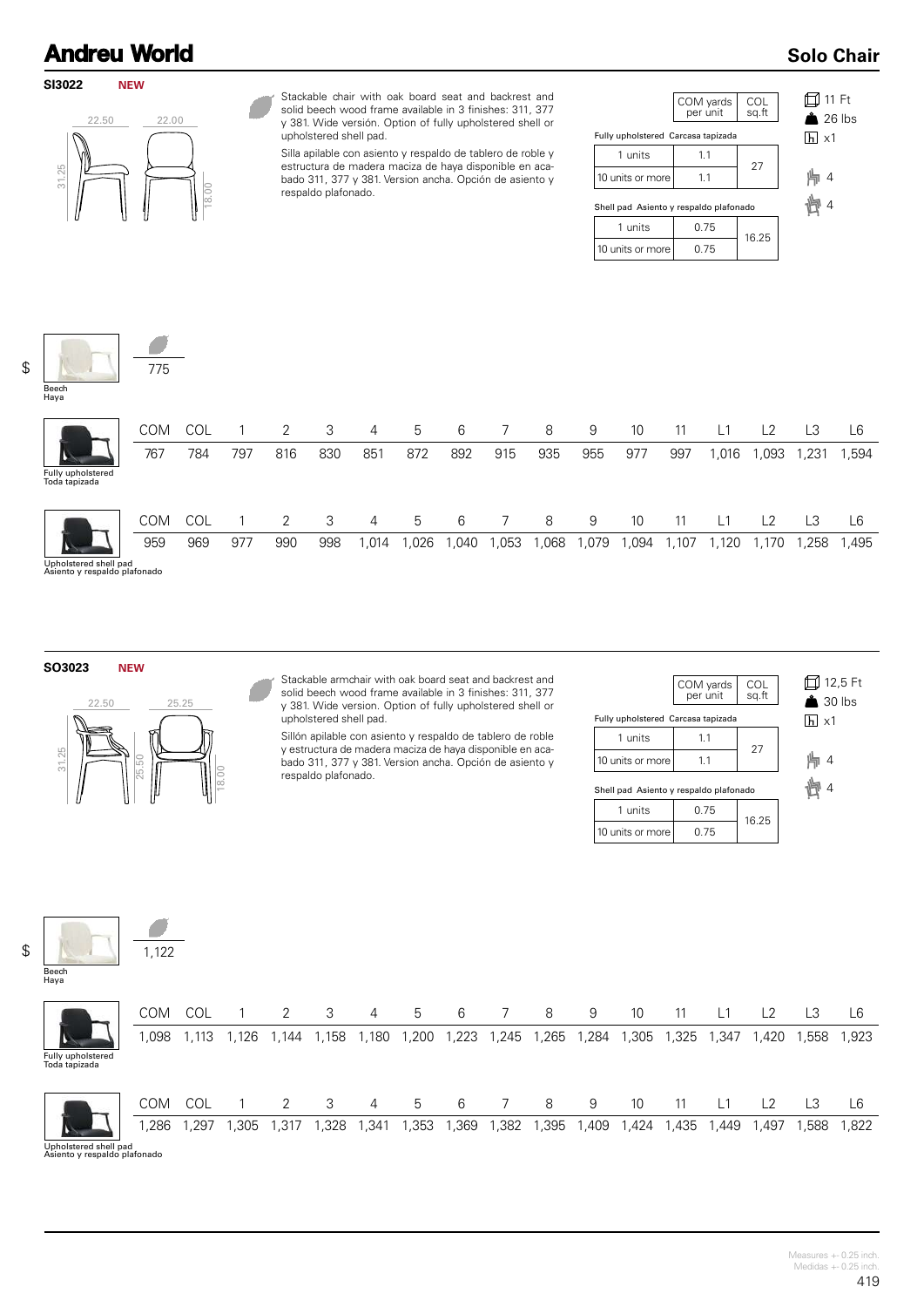#### **SI3022 NEW**



Stackable chair with oak board seat and backrest and solid beech wood frame available in 3 finishes: 311, 377 y 381. Wide versión. Option of fully upholstered shell or upholstered shell pad.

Silla apilable con asiento y respaldo de tablero de roble y estructura de madera maciza de haya disponible en acabado 311, 377 y 381. Version ancha. Opción de asiento y respaldo plafonado.

|                                        | COM yards<br>per unit | COL<br>sq.ft |  |
|----------------------------------------|-----------------------|--------------|--|
| Fully upholstered Carcasa tapizada     |                       |              |  |
| 1 units                                | 1.1                   | 27           |  |
| 10 units or more                       | 1.1                   |              |  |
| Shell pad Asiento y respaldo plafonado |                       |              |  |
| 1 units                                | 0.75                  | 16.25        |  |
| 10 units or more                       | 0.75                  |              |  |

| $\overline{h}$ x1 | $\Box$ 11 Ft<br>$\triangle$ 26 lbs |  |
|-------------------|------------------------------------|--|
| ⊫ 4<br>☆ 小        |                                    |  |

**Solo Chair**

| Beech<br>Haya                      | 775               |            |     |          |          |            |             |            |          |            |            |             |             |                |             |                        |             |
|------------------------------------|-------------------|------------|-----|----------|----------|------------|-------------|------------|----------|------------|------------|-------------|-------------|----------------|-------------|------------------------|-------------|
| Fully upholstered<br>Toda tapizada | <b>COM</b><br>767 | COL<br>784 | 797 | 2<br>816 | 3<br>830 | 4<br>851   | 5<br>872    | 6<br>892   | 7<br>915 | 8<br>935   | 9<br>955   | 10<br>977   | 11<br>997   | L1<br>1,016    | L2<br>,093  | L <sub>3</sub><br>,231 | L6<br>1,594 |
|                                    | <b>COM</b><br>959 | COL<br>969 | 977 | 2<br>990 | 3<br>998 | 4<br>1,014 | 5<br>026, ا | 6<br>1,040 | ,053     | 8<br>1,068 | 9<br>1,079 | 10<br>1,094 | 11<br>1,107 | $L^1$<br>1,120 | L2<br>1,170 | L3<br>1,258            | L6<br>1,495 |

Upholstered shell pad Asiento y respaldo plafonado

**SO3023 NEW**



1,122

4

Stackable armchair with oak board seat and backrest and solid beech wood frame available in 3 finishes: 311, 377 y 381. Wide version. Option of fully upholstered shell or upholstered shell pad.

Sillón apilable con asiento y respaldo de tablero de roble y estructura de madera maciza de haya disponible en acabado 311, 377 y 381. Version ancha. Opción de asiento y respaldo plafonado.

|                                        | COM yards<br>per unit | COL<br>sq.ft | 口 12,5 Ft<br>$\triangle$ 30 lbs |
|----------------------------------------|-----------------------|--------------|---------------------------------|
| Fully upholstered Carcasa tapizada     |                       |              | $ h  \times 1$                  |
| 1 units                                | 1.1                   |              |                                 |
| 10 units or more                       | 1.1                   | 27           | $\overline{4}$                  |
| Shell pad Asiento y respaldo plafonado |                       |              |                                 |
| 1 units                                | 0.75                  | 16.25        |                                 |
| 10 units or more                       | 0.75                  |              |                                 |

\$

Haya

| Beech |  |
|-------|--|

|                                    | <b>COM</b> | COL  |      | 2              | 3      | $\overline{4}$ | ხ     | 6     |       | 8      | 9     | 10    | 11    |       | L <sub>2</sub> |       | L6    |
|------------------------------------|------------|------|------|----------------|--------|----------------|-------|-------|-------|--------|-------|-------|-------|-------|----------------|-------|-------|
|                                    | .098       | ,113 | .126 | .144           | . 158، | ,180           | 1,200 | 1,223 | 1,245 | ,265   | 1,284 | 1,305 | 1,325 | 1,347 | ,420           | 1,558 | 1,923 |
| Fully upholstered<br>Toda tapizada |            |      |      |                |        |                |       |       |       |        |       |       |       |       |                |       |       |
|                                    | <b>COM</b> | COL  |      | $\overline{2}$ | -3     | 4              | 5     | -6    | 7     | 8      | 9     | 10    | 11    |       | L <sub>2</sub> | L3    | L6    |
|                                    | ,286       | ,297 | ,305 | 1,317          | ,328   | 341,ا          | 1,353 | 1,369 | 1,382 | 395، ، | 1,409 | 1,424 | 1,435 | ,449  | 497,،          | ,588  | 1,822 |

Upholstered shell pad Asiento y respaldo plafonado

\$